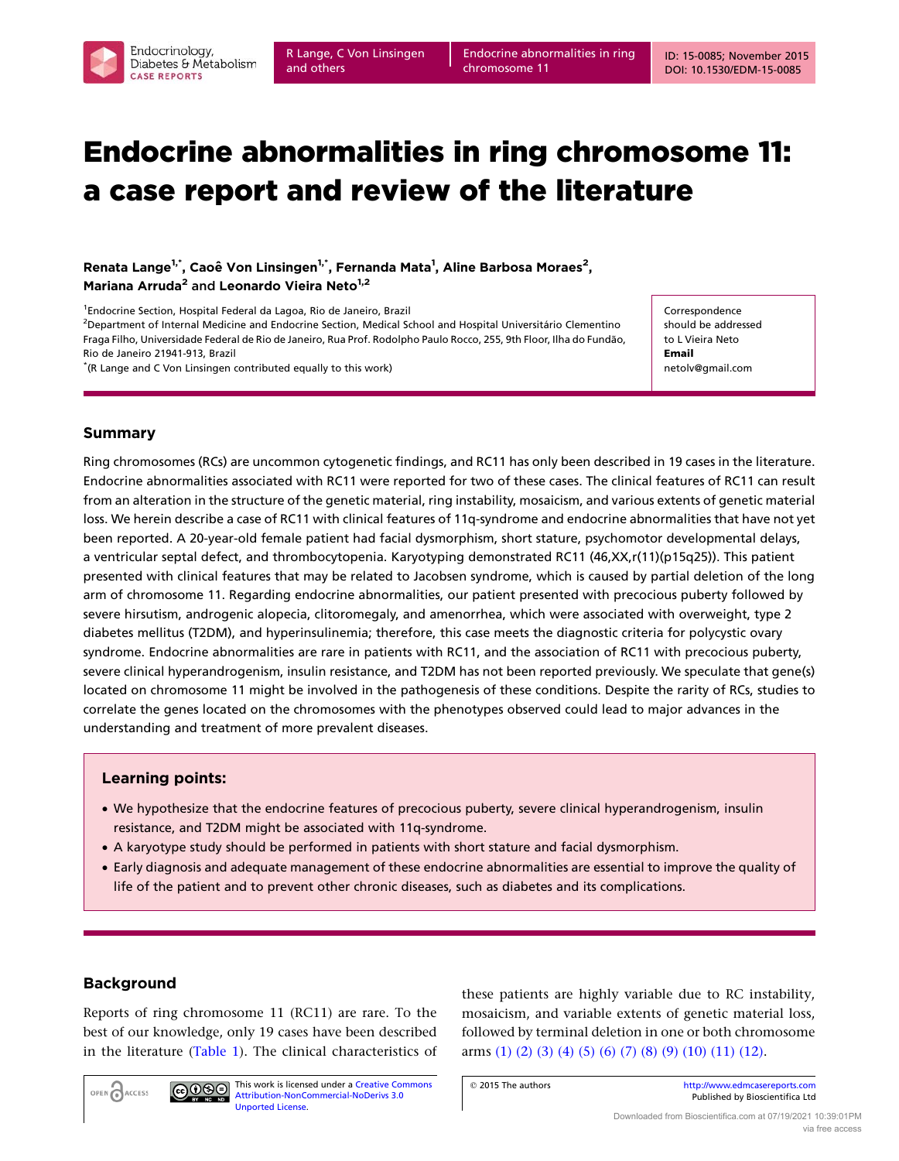Endocrine abnormalities in ring chromosome 11

# Endocrine abnormalities in ring chromosome 11: a case report and review of the literature

Renata Lange<sup>1,\*</sup>, Caoê Von Linsingen<sup>1,\*</sup>, Fernanda Mata<sup>1</sup>, Aline Barbosa Moraes<sup>2</sup>, Mariana Arruda<sup>2</sup> and Leonardo Vieira Neto<sup>1,2</sup>

<sup>1</sup>Endocrine Section, Hospital Federal da Lagoa, Rio de Janeiro, Brazil

<sup>2</sup>Department of Internal Medicine and Endocrine Section, Medical School and Hospital Universitário Clementino Fraga Filho, Universidade Federal de Rio de Janeiro, Rua Prof. Rodolpho Paulo Rocco, 255, 9th Floor, Ilha do Fundão, Rio de Janeiro 21941-913, Brazil \* (R Lange and C Von Linsingen contributed equally to this work)

**Correspondence** should be addressed to L Vieira Neto Email netolv@gmail.com

## Summary

Ring chromosomes (RCs) are uncommon cytogenetic findings, and RC11 has only been described in 19 cases in the literature. Endocrine abnormalities associated with RC11 were reported for two of these cases. The clinical features of RC11 can result from an alteration in the structure of the genetic material, ring instability, mosaicism, and various extents of genetic material loss. We herein describe a case of RC11 with clinical features of 11q-syndrome and endocrine abnormalities that have not yet been reported. A 20-year-old female patient had facial dysmorphism, short stature, psychomotor developmental delays, a ventricular septal defect, and thrombocytopenia. Karyotyping demonstrated RC11 (46,XX,r(11)(p15q25)). This patient presented with clinical features that may be related to Jacobsen syndrome, which is caused by partial deletion of the long arm of chromosome 11. Regarding endocrine abnormalities, our patient presented with precocious puberty followed by severe hirsutism, androgenic alopecia, clitoromegaly, and amenorrhea, which were associated with overweight, type 2 diabetes mellitus (T2DM), and hyperinsulinemia; therefore, this case meets the diagnostic criteria for polycystic ovary syndrome. Endocrine abnormalities are rare in patients with RC11, and the association of RC11 with precocious puberty, severe clinical hyperandrogenism, insulin resistance, and T2DM has not been reported previously. We speculate that gene(s) located on chromosome 11 might be involved in the pathogenesis of these conditions. Despite the rarity of RCs, studies to correlate the genes located on the chromosomes with the phenotypes observed could lead to major advances in the understanding and treatment of more prevalent diseases.

### Learning points:

- † We hypothesize that the endocrine features of precocious puberty, severe clinical hyperandrogenism, insulin resistance, and T2DM might be associated with 11q-syndrome.
- † A karyotype study should be performed in patients with short stature and facial dysmorphism.
- † Early diagnosis and adequate management of these endocrine abnormalities are essential to improve the quality of life of the patient and to prevent other chronic diseases, such as diabetes and its complications.

# Background

OPEN CACCESS

Reports of ring chromosome 11 (RC11) are rare. To the best of our knowledge, only 19 cases have been described in the literature ([Table 1](#page-1-0)). The clinical characteristics of

 $\bigcirc$  000

[Unported License.](http://creativecommons.org/licenses/by-nc-nd/3.0/deed.en_GB)

This work is licensed under a [Creative Commons](http://creativecommons.org/licenses/by-nc-nd/3.0/deed.en_GB) [Attribution-NonCommercial-NoDerivs 3.0](http://creativecommons.org/licenses/by-nc-nd/3.0/deed.en_GB)

these patients are highly variable due to RC instability, mosaicism, and variable extents of genetic material loss, followed by terminal deletion in one or both chromosome arms [\(1\) \(2\) \(3\) \(4\) \(5\) \(6\) \(7\) \(8\) \(9\) \(10\) \(11\) \(12\)](#page-6-0).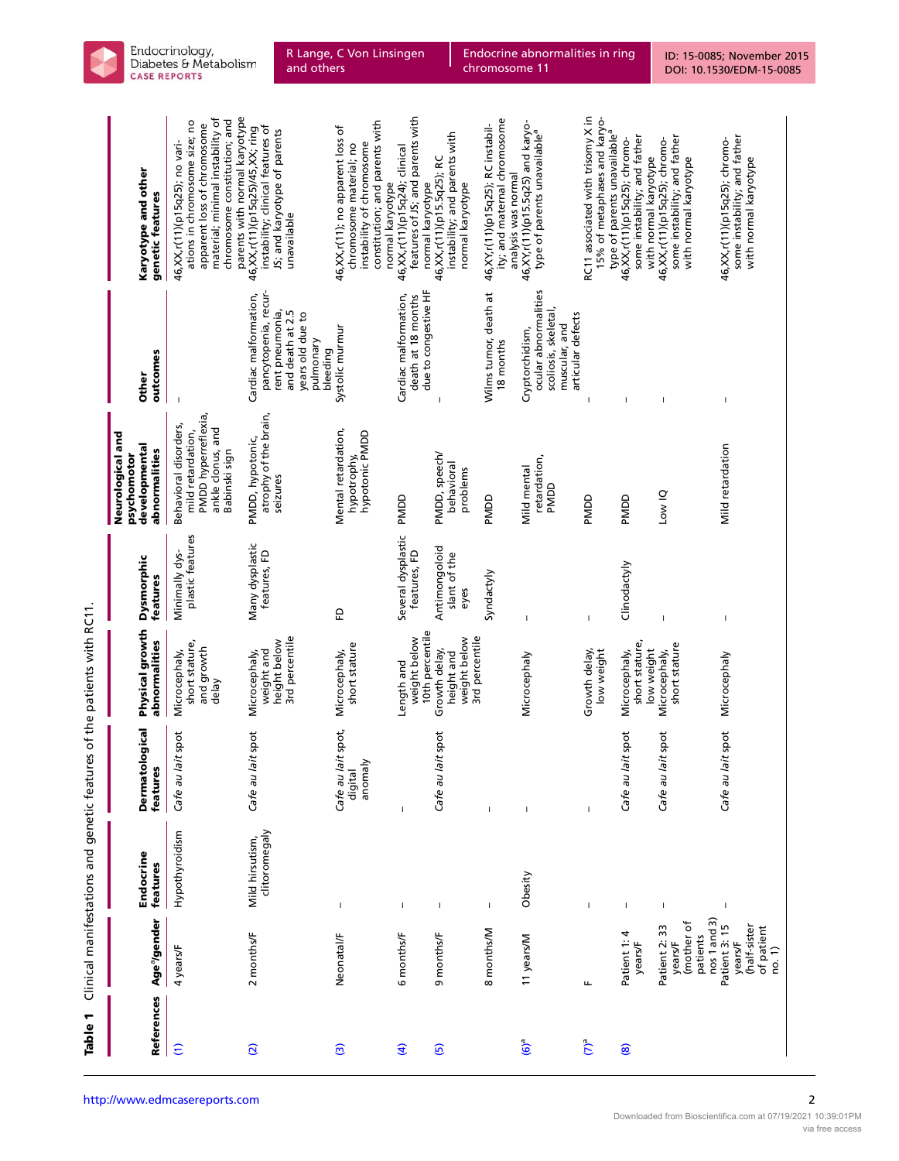| References               | Age <sup>a</sup> /gender                                           | Endocrine<br>features            | Dermatological<br>features               | Physical growth<br>abnormalities                              | Dysmorphic<br>features                | Neurological and<br>developmental<br>abnormalities<br>psychomotor                                       | outcomes<br><b>Other</b>                                                                                                          | Karyotype and other<br>genetic features                                                                                                                                                            |
|--------------------------|--------------------------------------------------------------------|----------------------------------|------------------------------------------|---------------------------------------------------------------|---------------------------------------|---------------------------------------------------------------------------------------------------------|-----------------------------------------------------------------------------------------------------------------------------------|----------------------------------------------------------------------------------------------------------------------------------------------------------------------------------------------------|
| $\widehat{c}$            | 4 years/F                                                          | Hypothyroidism                   | lait spot<br>Cafe au                     | short stature,<br>and growth<br>Microcephaly,<br>delay        | plastic features<br>Minimally dys-    | PMDD hyperreflexia,<br>Behavioral disorders,<br>ankle clonus, and<br>mild retardation,<br>Babinski sign |                                                                                                                                   | parents with normal karyotype<br>material; minimal instability of<br>chromosome constitution; and<br>ations in chromosome size; no<br>apparent loss of chromosome<br>46,XX,r(11)(p15q25); no vari- |
| $\widehat{\mathfrak{O}}$ | 2 months/F                                                         | clitoromegaly<br>Mild hirsutism, | Cafe au lait spot                        | 3rd percentile<br>height below<br>weight and<br>Microcephaly, | Many dysplastic<br>features, FD       | atrophy of the brain,<br>PMDD, hypotonic,<br>seizures                                                   | pancytopenia, recur-<br>Cardiac malformation,<br>rent pneumonia,<br>and death at 2.5<br>years old due to<br>pulmonary<br>bleeding | instability; clinical features of<br>46, XX, r(11) (p15q25)/45, XX; ring<br>JS; and karyotype of parents<br>unavailable                                                                            |
| $\widehat{\mathbf{c}}$   | Neonatal/F                                                         | $\mathbf{I}$                     | Cafe au lait spot,<br>anomaly<br>digital | short stature<br>Microcephaly,                                | 6                                     | Mental retardation,<br>hypotonic PMDD<br>hypotrophy,                                                    | Systolic murmur                                                                                                                   | constitution; and parents with<br>46,XX,r(11); no apparent loss of<br>instability of chromosome<br>chromosome material; no<br>normal karyotype                                                     |
| $\widehat{a}$            | 6 months/F                                                         | $\overline{1}$                   | $\overline{\phantom{a}}$                 | 10th percentile<br>weight below<br>Length and                 | Several dysplastic<br>features, FD    | PMDD                                                                                                    | due to congestive HF<br>Cardiac malformation,<br>death at 18 months                                                               | features of JS; and parents with<br>46, XX, r(11) (p15q24); clinical<br>normal karyotype                                                                                                           |
| $\overline{5}$           | 9 months/F                                                         | $\overline{1}$                   | lait spot<br>Cafe au                     | 3rd percentile<br>weight below<br>Growth delay,<br>height and | Antimongoloid<br>slant of the<br>eyes | PMDD, speech/<br>behavioral<br>problems                                                                 |                                                                                                                                   | instability; and parents with<br>46, XX, r(11) (p15.5q25); RC<br>normal karyotype                                                                                                                  |
|                          | 8 months/M                                                         | $\mathsf I$                      |                                          |                                                               | Syndactyly                            | PMDD                                                                                                    | Wilms tumor, death at<br>18 months                                                                                                | ity; and maternal chromosome<br>46, XY, r(11)(p15q25); RC instabil-<br>analysis was normal                                                                                                         |
| $\mathbf{e}^{(9)}$       | 11 years/M                                                         | Obesity                          | $\overline{1}$                           | Microcephaly                                                  |                                       | retardation,<br>Mild mental<br>PMDD                                                                     | ocular abnormalities<br>scoliosis, skeletal,<br>articular defects<br>muscular, and<br>Cryptorchidism,                             | 46,XY,r(11)(p15.5q25) and karyo-<br>type of parents unavailable <sup>a</sup>                                                                                                                       |
| $(7)^a$                  | щ                                                                  |                                  |                                          | Growth delay,<br>low weight                                   | $\mathbf{I}$                          | PMDD                                                                                                    |                                                                                                                                   | RC11 associated with trisomy X in<br>15% of metaphases and karyo-<br>type of parents unavailable <sup>a</sup>                                                                                      |
| $\circledast$            | Patient 1:<br>years/F                                              | $\overline{1}$                   | lait spot<br>Cafe au                     | short stature,<br>low weight<br>Microcephaly,                 | Clinodactyly                          | PMDD                                                                                                    |                                                                                                                                   | some instability; and father<br>46,XX,r(11)(p15q25); chromo-<br>with normal karyotype                                                                                                              |
|                          | nos 1 and 3)<br>(mother of<br>Patient 2: 33<br>patients<br>years/F | $\overline{\phantom{a}}$         | lait spot<br>Cafe au                     | short stature<br>Microcephaly,                                |                                       | Dow IQ                                                                                                  | I                                                                                                                                 | some instability; and father<br>46,XX,r(11)(p15q25); chromo-<br>with normal karyotype                                                                                                              |
|                          | (half-sister<br>Patient 3: 15<br>of patient<br>years/F<br>no. 1)   | $\overline{1}$                   | lait spot<br>Cafe au                     | Microcephaly                                                  | T                                     | Mild retardation                                                                                        |                                                                                                                                   | some instability; and father<br>46,XX,r(11)(p15q25); chromo-<br>with normal karyotype                                                                                                              |

<span id="page-1-0"></span>

Endocrine abnormalities in ring chromosome 11

ID: 15-0085; November 2015 [DOI: 10.1530/EDM-15-0085](http://dx.doi.org/10.1530/EDM-15-0085)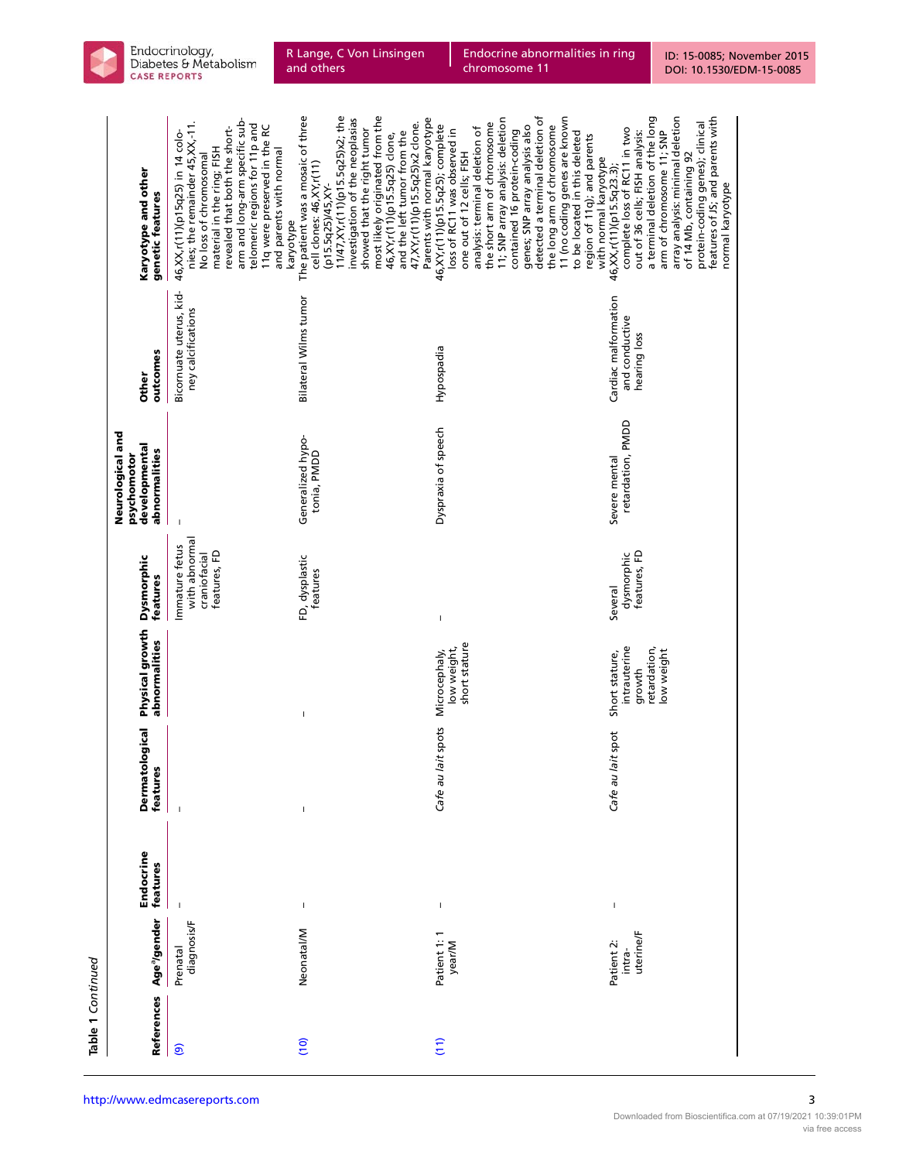| I      |  |
|--------|--|
| ŧ<br>c |  |

| <b>References</b> | Age <sup>a</sup> /gender          | Endocrine<br>features | <b>Dermatological</b><br>features | Physical growth<br>abnormalities                                       | <b>Dysmorphic</b><br>features                                   | Neurological and<br>developmental<br>abnormalities<br>psychomotor | outcomes<br><b>Other</b>                               | Karyotype and other<br>genetic features                                                                                                                                                                                                                                                                                                                                                                                                                       |
|-------------------|-----------------------------------|-----------------------|-----------------------------------|------------------------------------------------------------------------|-----------------------------------------------------------------|-------------------------------------------------------------------|--------------------------------------------------------|---------------------------------------------------------------------------------------------------------------------------------------------------------------------------------------------------------------------------------------------------------------------------------------------------------------------------------------------------------------------------------------------------------------------------------------------------------------|
| $\odot$           | diagnosis/F<br>Prenatal           |                       |                                   |                                                                        | with abnormal<br>Immature fetus<br>features, FD<br>craniofacial |                                                                   | Bicornuate uterus, kid-<br>ney calcifications          | arm and long-arm specific sub-<br>nies; the remainder 45, XX,-11.<br>telomeric regions for 11p and<br>11q were preserved in the RC<br>revealed that both the short-<br>46, XX, r(11) (p15q25) in 14 colo-<br>material in the ring; FISH<br>and parents with normal<br>No loss of chromosomal<br>karyotype                                                                                                                                                     |
| $\frac{1}{2}$     | Neonatal/M                        | $\mathsf I$           | $\mathsf I$                       | $\mathbf{I}$                                                           | FD, dysplastic<br>teatures                                      | Generalized hypo-<br>tonia, PMDD                                  | Bilateral Wilms tumor                                  | most likely originated from the<br>11/47, XY, r(11) (p15.5q25) x2; the<br>The patient was a mosaic of three<br>Parents with normal karyotype<br>investigation of the neoplasias<br>47, XY, r(11)(p15.5q25) x2 clone.<br>showed that the right tumor<br>and the left tumor from the<br>46, XY, r(11) (p15.5q25) clone,<br>cell clones: 46, XY, r(11)<br>(p15.5q25)/45, XY-                                                                                     |
| (11)              | Patient 1: 1<br>year/M            | $\sf I$               | Cafe au lait spots                | short stature<br>low weight,<br>Microcephaly,                          | $\sf I$                                                         | Dyspraxia of speech                                               | Hypospadia                                             | detected a terminal deletion of<br>11 (no coding genes are known<br>11; SNP array analysis: deletion<br>the short arm of chromosome<br>genes; SNP array analysis also<br>the long arm of chromosome<br>46,XY,r(11)(p15.5q25); complete<br>analysis: terminal deletion of<br>loss of RC11 was observed in<br>contained 16 protein-coding<br>to be located in this deleted<br>region of 11q); and parents<br>one out of 12 cells; FISH<br>with normal karyotype |
|                   | uterine/F<br>Patient 2:<br>intra- | $\overline{1}$        | Cafe au lait spot                 | intrauterine<br>retardation,<br>low weight<br>Short stature,<br>growth | features, FD<br>dysmorphic<br>Several                           | retardation, PMDD<br>Severe mental                                | Cardiac malformation<br>and conductive<br>hearing loss | array analysis: minimal deletion<br>a terminal deletion of the long<br>features of JS; and parents with<br>protein-coding genes); clinical<br>complete loss of RC11 in two<br>out of 36 cells; FISH analysis:<br>arm of chromosome 11; SNP<br>of 14 Mb, containing 92<br>46, XX, r(11) (p15.5q23.3);<br>normal karyotype                                                                                                                                      |

and others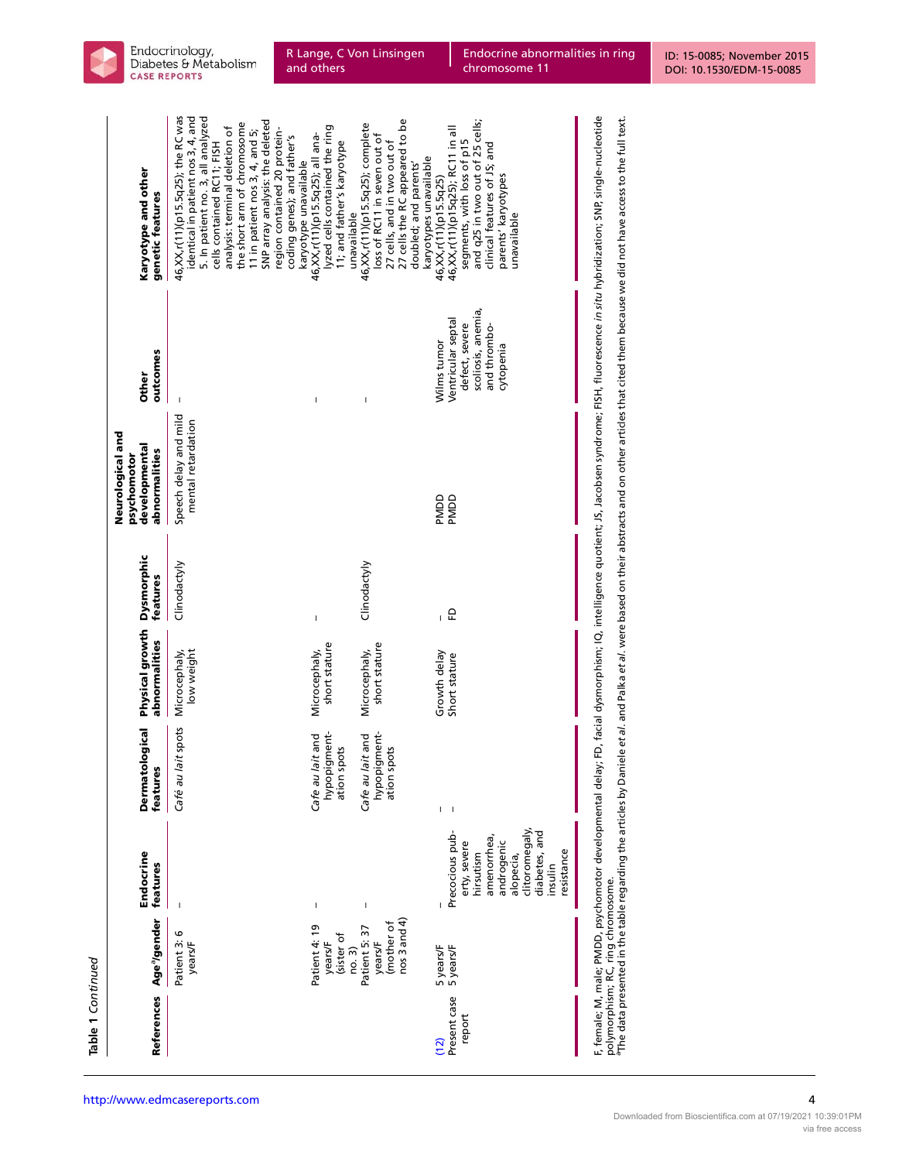| г |
|---|
| L |
| ₹ |
| c |
|   |
|   |

| Karyotype and other<br>genetic features                           | 46,XX,r(11)(p15.5q25); the RC was<br>identical in patient nos 3, 4, and<br>5. In patient no. 3, all analyzed<br>SNP array analysis: the deleted<br>the short arm of chromosome<br>analysis: terminal deletion of<br>region contained 20 protein-<br>11 in patient nos 3, 4, and 5;<br>coding genes); and father's<br>cells contained RC11; FISH<br>karyotype unavailable | lyzed cells contained the ring<br>46, XX, r(11) (p15.5q25); all ana-<br>11; and father's karyotype<br>unavailable | 27 cells the RC appeared to be<br>46, XX, r(11) (p15.5q25); complete<br>loss of RC11 in seven out of<br>27 cells, and in two out of<br>karyotypes unavailable<br>doubled; and parents' | and q25 in two out of 25 cells;<br>46, XX, r(11) (p15q25); RC11 in all<br>segments, with loss of p15<br>clinical features of JS; and<br>parents' karyotypes<br>46, XX, r(11) (p15.5q25)<br>unavailable |
|-------------------------------------------------------------------|--------------------------------------------------------------------------------------------------------------------------------------------------------------------------------------------------------------------------------------------------------------------------------------------------------------------------------------------------------------------------|-------------------------------------------------------------------------------------------------------------------|----------------------------------------------------------------------------------------------------------------------------------------------------------------------------------------|--------------------------------------------------------------------------------------------------------------------------------------------------------------------------------------------------------|
| outcomes<br><b>Other</b>                                          |                                                                                                                                                                                                                                                                                                                                                                          | I                                                                                                                 | Ï                                                                                                                                                                                      | scoliosis, anemia,<br>Ventricular septal<br>defect, severe<br>and thrombo-<br>Wilms tumor<br>cytopenia                                                                                                 |
| Neurological and<br>developmental<br>abnormalities<br>psychomotor | Speech delay and mild<br>mental retardation                                                                                                                                                                                                                                                                                                                              |                                                                                                                   |                                                                                                                                                                                        | PMDD<br>PMDD                                                                                                                                                                                           |
| <b>Dysmorphic</b><br>teatures                                     | Clinodactyly                                                                                                                                                                                                                                                                                                                                                             | Ï                                                                                                                 | Clinodactyly                                                                                                                                                                           | 요                                                                                                                                                                                                      |
| Physical growth<br>abnormalities                                  | Microcephaly,<br>low weight                                                                                                                                                                                                                                                                                                                                              | short stature<br>Microcephaly,                                                                                    | short stature<br>Microcephaly,                                                                                                                                                         | Growth delay<br>Short stature                                                                                                                                                                          |
| <b>Dermatological</b><br>features                                 | lait spots<br>Café au                                                                                                                                                                                                                                                                                                                                                    | hypopigment-<br>Cafe au lait and<br>ation spots                                                                   | hypopigment-<br>Cafe au lait and<br>ation spots                                                                                                                                        | I<br>I                                                                                                                                                                                                 |
| Endocrine<br>features                                             |                                                                                                                                                                                                                                                                                                                                                                          | I                                                                                                                 | I                                                                                                                                                                                      | clitoromegaly<br>Precocious pub-<br>diabetes, and<br>amenorrhea,<br>erty, severe<br>androgenic<br>resistance<br>hirsutism<br>alopecia,<br>insulin                                                      |
| Age <sup>a</sup> /gender                                          | Patient 3:6<br>years/F                                                                                                                                                                                                                                                                                                                                                   | Patient 4: 19<br>(sister of<br>years/F                                                                            | $n$ os 3 and 4)<br>(mother of<br>no. 3)<br>Patient 5: 37<br>years/F                                                                                                                    | 5 years/F<br>5 years/F                                                                                                                                                                                 |
| References                                                        |                                                                                                                                                                                                                                                                                                                                                                          |                                                                                                                   |                                                                                                                                                                                        | Present case<br>report<br>(12)                                                                                                                                                                         |

R Lange, C Von Linsingen

and others

F, female; M, male; PMDD, psychomotor developmental delay; FD, facial dysmorphism; IQ, intelligence quotient; JS, Jacobsen syndrome; FISH, fluorescence *in situ* hybridization; SNP, single-nucleotide<br>polymorphism; RC, ring F, female; M, male; PMDD, psychomotor developmental delay; FD, facial dysmorphism; IQ, intelligence quotient; JS, Jacobsen syndrome; FISH, fluorescence in situ hybridization; SNP, single-nucleotide aThe data presented in the table regarding the articles by Daniele et al. and Palka et al. were based on their abstracts and on other articles that cited them because we did not have access to the full text. polymorphism; RC, ring chromosome.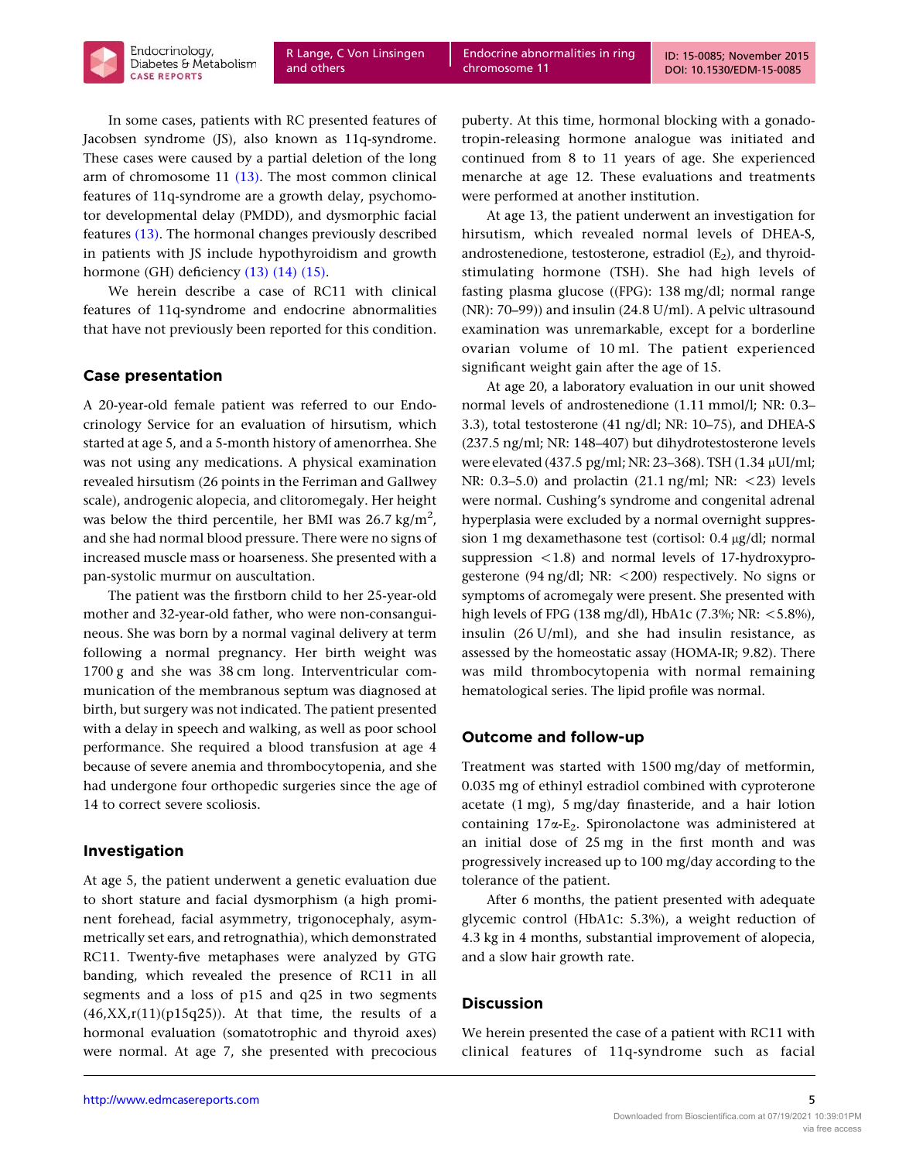In some cases, patients with RC presented features of Jacobsen syndrome (JS), also known as 11q-syndrome. These cases were caused by a partial deletion of the long arm of chromosome 11 [\(13\).](#page-6-0) The most common clinical features of 11q-syndrome are a growth delay, psychomotor developmental delay (PMDD), and dysmorphic facial features [\(13\)](#page-6-0). The hormonal changes previously described in patients with JS include hypothyroidism and growth hormone (GH) deficiency [\(13\) \(14\) \(15\).](#page-6-0)

We herein describe a case of RC11 with clinical features of 11q-syndrome and endocrine abnormalities that have not previously been reported for this condition.

## Case presentation

A 20-year-old female patient was referred to our Endocrinology Service for an evaluation of hirsutism, which started at age 5, and a 5-month history of amenorrhea. She was not using any medications. A physical examination revealed hirsutism (26 points in the Ferriman and Gallwey scale), androgenic alopecia, and clitoromegaly. Her height was below the third percentile, her BMI was 26.7 kg/m<sup>2</sup>, and she had normal blood pressure. There were no signs of increased muscle mass or hoarseness. She presented with a pan-systolic murmur on auscultation.

The patient was the firstborn child to her 25-year-old mother and 32-year-old father, who were non-consanguineous. She was born by a normal vaginal delivery at term following a normal pregnancy. Her birth weight was 1700 g and she was 38 cm long. Interventricular communication of the membranous septum was diagnosed at birth, but surgery was not indicated. The patient presented with a delay in speech and walking, as well as poor school performance. She required a blood transfusion at age 4 because of severe anemia and thrombocytopenia, and she had undergone four orthopedic surgeries since the age of 14 to correct severe scoliosis.

# Investigation

At age 5, the patient underwent a genetic evaluation due to short stature and facial dysmorphism (a high prominent forehead, facial asymmetry, trigonocephaly, asymmetrically set ears, and retrognathia), which demonstrated RC11. Twenty-five metaphases were analyzed by GTG banding, which revealed the presence of RC11 in all segments and a loss of p15 and q25 in two segments  $(46, XX, r(11)(p15q25))$ . At that time, the results of a hormonal evaluation (somatotrophic and thyroid axes) were normal. At age 7, she presented with precocious

puberty. At this time, hormonal blocking with a gonadotropin-releasing hormone analogue was initiated and continued from 8 to 11 years of age. She experienced menarche at age 12. These evaluations and treatments were performed at another institution.

At age 13, the patient underwent an investigation for hirsutism, which revealed normal levels of DHEA-S, androstenedione, testosterone, estradiol  $(E_2)$ , and thyroidstimulating hormone (TSH). She had high levels of fasting plasma glucose ((FPG): 138 mg/dl; normal range (NR): 70–99)) and insulin (24.8 U/ml). A pelvic ultrasound examination was unremarkable, except for a borderline ovarian volume of 10 ml. The patient experienced significant weight gain after the age of 15.

At age 20, a laboratory evaluation in our unit showed normal levels of androstenedione (1.11 mmol/l; NR: 0.3– 3.3), total testosterone (41 ng/dl; NR: 10–75), and DHEA-S (237.5 ng/ml; NR: 148–407) but dihydrotestosterone levels were elevated (437.5 pg/ml; NR: 23-368). TSH (1.34 µUI/ml; NR:  $0.3-5.0$ ) and prolactin  $(21.1 \text{ ng/ml}; \text{ NR}: <23)$  levels were normal. Cushing's syndrome and congenital adrenal hyperplasia were excluded by a normal overnight suppression 1 mg dexamethasone test (cortisol: 0.4 µg/dl; normal suppression  $\langle 1.8 \rangle$  and normal levels of 17-hydroxyprogesterone (94 ng/dl; NR:  $\langle 200 \rangle$  respectively. No signs or symptoms of acromegaly were present. She presented with high levels of FPG (138 mg/dl), HbA1c (7.3%; NR:  $\lt$ 5.8%), insulin (26 U/ml), and she had insulin resistance, as assessed by the homeostatic assay (HOMA-IR; 9.82). There was mild thrombocytopenia with normal remaining hematological series. The lipid profile was normal.

### Outcome and follow-up

Treatment was started with 1500 mg/day of metformin, 0.035 mg of ethinyl estradiol combined with cyproterone acetate (1 mg), 5 mg/day finasteride, and a hair lotion containing  $17\alpha$ -E<sub>2</sub>. Spironolactone was administered at an initial dose of 25 mg in the first month and was progressively increased up to 100 mg/day according to the tolerance of the patient.

After 6 months, the patient presented with adequate glycemic control (HbA1c: 5.3%), a weight reduction of 4.3 kg in 4 months, substantial improvement of alopecia, and a slow hair growth rate.

### **Discussion**

We herein presented the case of a patient with RC11 with clinical features of 11q-syndrome such as facial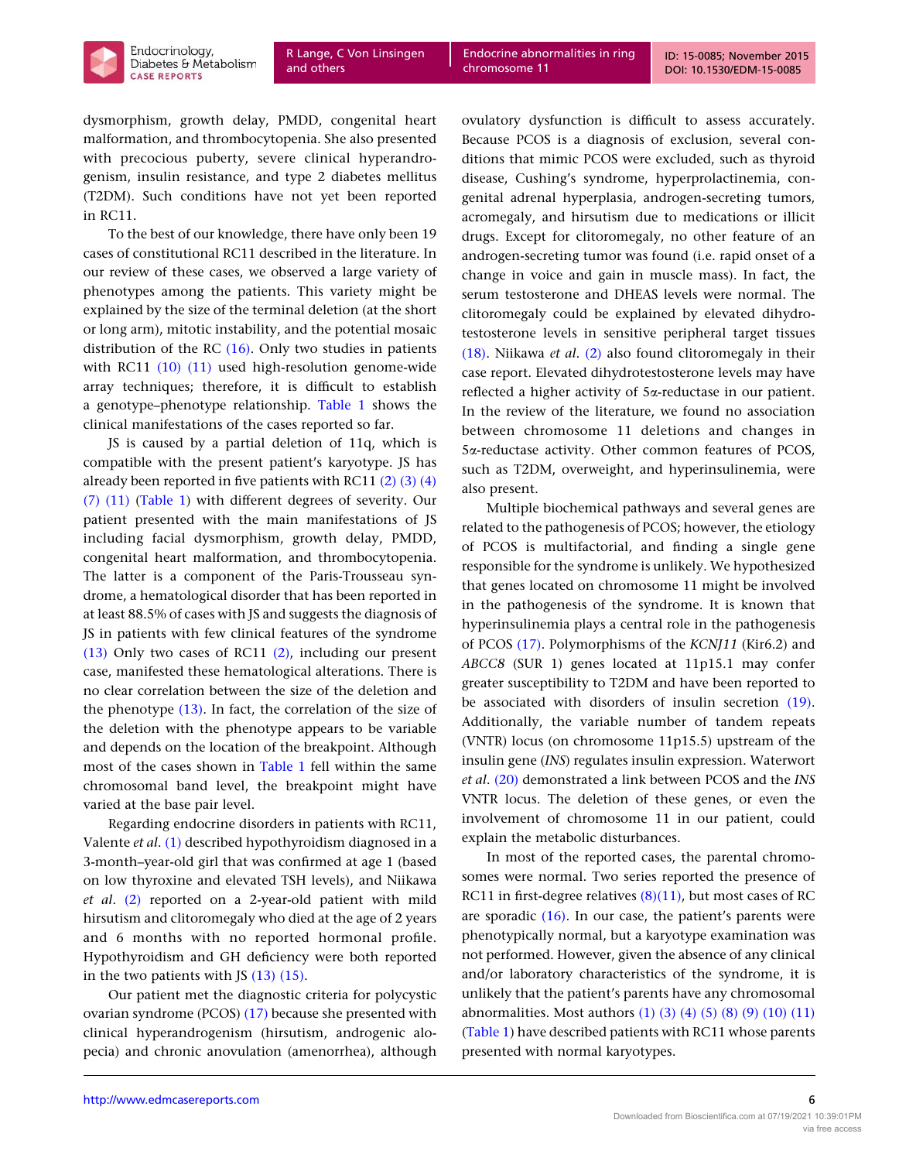ID: 15-0085; November 2015 [DOI: 10.1530/EDM-15-0085](http://dx.doi.org/10.1530/EDM-15-0085)



dysmorphism, growth delay, PMDD, congenital heart malformation, and thrombocytopenia. She also presented with precocious puberty, severe clinical hyperandrogenism, insulin resistance, and type 2 diabetes mellitus (T2DM). Such conditions have not yet been reported

in RC11. To the best of our knowledge, there have only been 19 cases of constitutional RC11 described in the literature. In our review of these cases, we observed a large variety of phenotypes among the patients. This variety might be explained by the size of the terminal deletion (at the short or long arm), mitotic instability, and the potential mosaic distribution of the RC [\(16\).](#page-6-0) Only two studies in patients with RC11 [\(10\) \(11\)](#page-6-0) used high-resolution genome-wide array techniques; therefore, it is difficult to establish a genotype–phenotype relationship. [Table 1](#page-1-0) shows the clinical manifestations of the cases reported so far.

JS is caused by a partial deletion of 11q, which is compatible with the present patient's karyotype. JS has already been reported in five patients with RC11  $(2)$   $(3)$   $(4)$ [\(7\) \(11\)](#page-6-0) [\(Table 1\)](#page-1-0) with different degrees of severity. Our patient presented with the main manifestations of JS including facial dysmorphism, growth delay, PMDD, congenital heart malformation, and thrombocytopenia. The latter is a component of the Paris-Trousseau syndrome, a hematological disorder that has been reported in at least 88.5% of cases with JS and suggests the diagnosis of JS in patients with few clinical features of the syndrome [\(13\)](#page-6-0) Only two cases of RC11 [\(2\),](#page-6-0) including our present case, manifested these hematological alterations. There is no clear correlation between the size of the deletion and the phenotype [\(13\)](#page-6-0). In fact, the correlation of the size of the deletion with the phenotype appears to be variable and depends on the location of the breakpoint. Although most of the cases shown in [Table 1](#page-1-0) fell within the same chromosomal band level, the breakpoint might have varied at the base pair level.

Regarding endocrine disorders in patients with RC11, Valente et al. [\(1\)](#page-6-0) described hypothyroidism diagnosed in a 3-month–year-old girl that was confirmed at age 1 (based on low thyroxine and elevated TSH levels), and Niikawa et al. [\(2\)](#page-6-0) reported on a 2-year-old patient with mild hirsutism and clitoromegaly who died at the age of 2 years and 6 months with no reported hormonal profile. Hypothyroidism and GH deficiency were both reported in the two patients with JS [\(13\) \(15\)](#page-6-0).

Our patient met the diagnostic criteria for polycystic ovarian syndrome (PCOS) [\(17\)](#page-6-0) because she presented with clinical hyperandrogenism (hirsutism, androgenic alopecia) and chronic anovulation (amenorrhea), although ovulatory dysfunction is difficult to assess accurately. Because PCOS is a diagnosis of exclusion, several conditions that mimic PCOS were excluded, such as thyroid disease, Cushing's syndrome, hyperprolactinemia, congenital adrenal hyperplasia, androgen-secreting tumors, acromegaly, and hirsutism due to medications or illicit drugs. Except for clitoromegaly, no other feature of an androgen-secreting tumor was found (i.e. rapid onset of a change in voice and gain in muscle mass). In fact, the serum testosterone and DHEAS levels were normal. The clitoromegaly could be explained by elevated dihydrotestosterone levels in sensitive peripheral target tissues [\(18\)](#page-6-0). Niikawa et al. [\(2\)](#page-6-0) also found clitoromegaly in their case report. Elevated dihydrotestosterone levels may have reflected a higher activity of 5a-reductase in our patient. In the review of the literature, we found no association between chromosome 11 deletions and changes in 5a-reductase activity. Other common features of PCOS, such as T2DM, overweight, and hyperinsulinemia, were also present.

Multiple biochemical pathways and several genes are related to the pathogenesis of PCOS; however, the etiology of PCOS is multifactorial, and finding a single gene responsible for the syndrome is unlikely. We hypothesized that genes located on chromosome 11 might be involved in the pathogenesis of the syndrome. It is known that hyperinsulinemia plays a central role in the pathogenesis of PCOS [\(17\).](#page-6-0) Polymorphisms of the KCNJ11 (Kir6.2) and ABCC8 (SUR 1) genes located at 11p15.1 may confer greater susceptibility to T2DM and have been reported to be associated with disorders of insulin secretion [\(19\).](#page-6-0) Additionally, the variable number of tandem repeats (VNTR) locus (on chromosome 11p15.5) upstream of the insulin gene (INS) regulates insulin expression. Waterwort et al. [\(20\)](#page-6-0) demonstrated a link between PCOS and the INS VNTR locus. The deletion of these genes, or even the involvement of chromosome 11 in our patient, could explain the metabolic disturbances.

In most of the reported cases, the parental chromosomes were normal. Two series reported the presence of RC11 in first-degree relatives  $(8)(11)$ , but most cases of RC are sporadic  $(16)$ . In our case, the patient's parents were phenotypically normal, but a karyotype examination was not performed. However, given the absence of any clinical and/or laboratory characteristics of the syndrome, it is unlikely that the patient's parents have any chromosomal abnormalities. Most authors  $(1)$   $(3)$   $(4)$   $(5)$   $(8)$   $(9)$   $(10)$   $(11)$ ([Table 1](#page-1-0)) have described patients with RC11 whose parents presented with normal karyotypes.